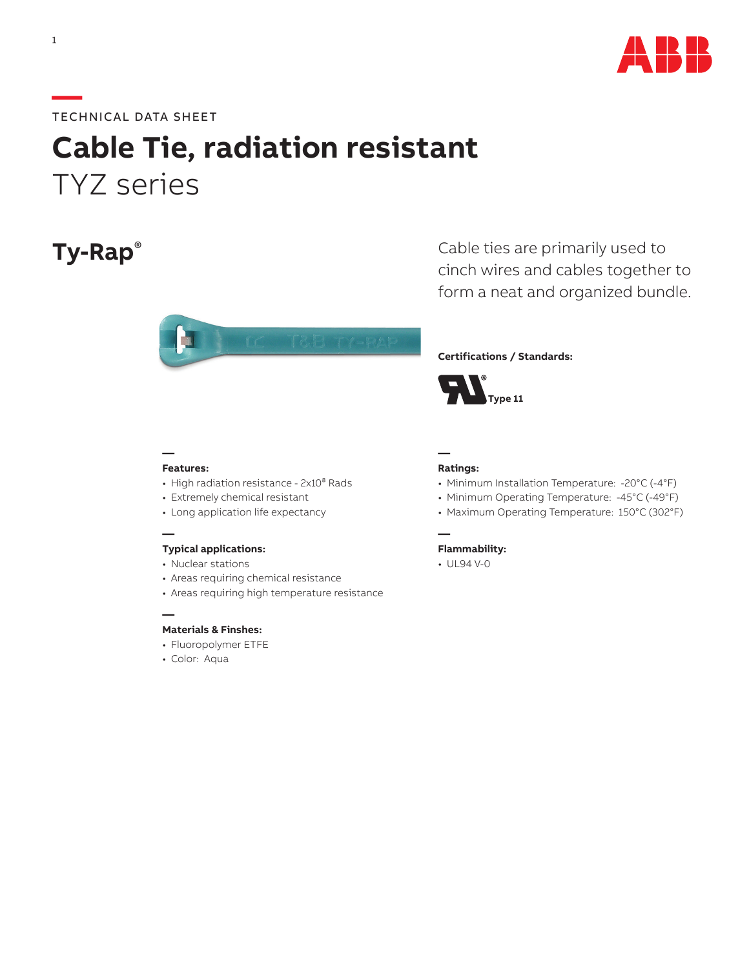

#### **—**TECHNICAL DATA SHEET

# **Cable Tie, radiation resistant** TYZ series

## **Ty-Rap**®



Cable ties are primarily used to cinch wires and cables together to form a neat and organized bundle.

#### **Certifications / Standards:**



#### **Features:**

**—**

- High radiation resistance 2x10<sup>8</sup> Rads
- Extremely chemical resistant
- Long application life expectancy

#### **—**

**—**

#### **Typical applications:**

- Nuclear stations
- Areas requiring chemical resistance
- Areas requiring high temperature resistance

#### **Materials & Finshes:**

- Fluoropolymer ETFE
- Color: Aqua

#### **— Ratings:**

**—**

- Minimum Installation Temperature: -20°C (-4°F)
- Minimum Operating Temperature: -45°C (-49°F)
- Maximum Operating Temperature: 150°C (302°F)

#### **Flammability:**

• UL94 V-0